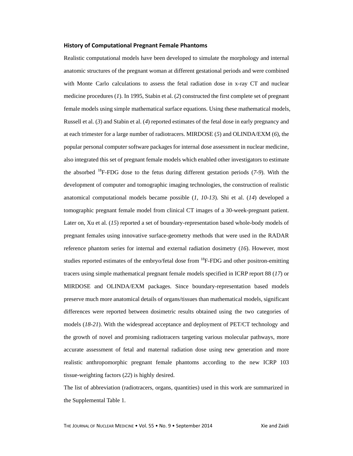### **History of Computational Pregnant Female Phantoms**

Realistic computational models have been developed to simulate the morphology and internal anatomic structures of the pregnant woman at different gestational periods and were combined with Monte Carlo calculations to assess the fetal radiation dose in x-ray CT and nuclear medicine procedures (*1*). In 1995, Stabin et al. (*2*) constructed the first complete set of pregnant female models using simple mathematical surface equations. Using these mathematical models, Russell et al. (*3*) and Stabin et al. (*4*) reported estimates of the fetal dose in early pregnancy and at each trimester for a large number of radiotracers. MIRDOSE (*5*) and OLINDA/EXM (*6*), the popular personal computer software packages for internal dose assessment in nuclear medicine, also integrated this set of pregnant female models which enabled other investigators to estimate the absorbed 18F-FDG dose to the fetus during different gestation periods (*7-9*). With the development of computer and tomographic imaging technologies, the construction of realistic anatomical computational models became possible (*1, 10-13*). Shi et al. (*14*) developed a tomographic pregnant female model from clinical CT images of a 30-week-pregnant patient. Later on, Xu et al. (*15*) reported a set of boundary-representation based whole-body models of pregnant females using innovative surface-geometry methods that were used in the RADAR reference phantom series for internal and external radiation dosimetry (*16*). However, most studies reported estimates of the embryo/fetal dose from  ${}^{18}F$ -FDG and other positron-emitting tracers using simple mathematical pregnant female models specified in ICRP report 88 (*17*) or MIRDOSE and OLINDA/EXM packages. Since boundary-representation based models preserve much more anatomical details of organs/tissues than mathematical models, significant differences were reported between dosimetric results obtained using the two categories of models (*18-21*). With the widespread acceptance and deployment of PET/CT technology and the growth of novel and promising radiotracers targeting various molecular pathways, more accurate assessment of fetal and maternal radiation dose using new generation and more realistic anthropomorphic pregnant female phantoms according to the new ICRP 103 tissue-weighting factors (*22*) is highly desired.

The list of abbreviation (radiotracers, organs, quantities) used in this work are summarized in the Supplemental Table 1.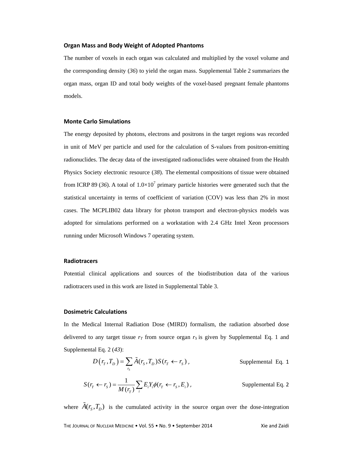### **Organ Mass and Body Weight of Adopted Phantoms**

The number of voxels in each organ was calculated and multiplied by the voxel volume and the corresponding density (*36*) to yield the organ mass. Supplemental Table 2 summarizes the organ mass, organ ID and total body weights of the voxel-based pregnant female phantoms models.

### **Monte Carlo Simulations**

The energy deposited by photons, electrons and positrons in the target regions was recorded in unit of MeV per particle and used for the calculation of S-values from positron-emitting radionuclides. The decay data of the investigated radionuclides were obtained from the Health Physics Society electronic resource (*38*). The elemental compositions of tissue were obtained from ICRP 89 (36). A total of  $1.0 \times 10^7$  primary particle histories were generated such that the statistical uncertainty in terms of coefficient of variation (COV) was less than 2% in most cases. The MCPLIB02 data library for photon transport and electron-physics models was adopted for simulations performed on a workstation with 2.4 GHz Intel Xeon processors running under Microsoft Windows 7 operating system.

## **Radiotracers**

Potential clinical applications and sources of the biodistribution data of the various radiotracers used in this work are listed in Supplemental Table 3.

## **Dosimetric Calculations**

In the Medical Internal Radiation Dose (MIRD) formalism, the radiation absorbed dose delivered to any target tissue  $r_T$  from source organ  $r_S$  is given by Supplemental Eq. 1 and Supplemental Eq. 2 (*43*):

$$
D(r_T, T_D) = \sum_{r_S} \tilde{A}(r_S, T_D) S(r_T \leftarrow r_S), \qquad \text{Supplemental Eq. 1}
$$

$$
S(r_r \leftarrow r_s) = \frac{1}{M(r_r)} \sum_i E_i Y_i \phi(r_r \leftarrow r_s, E_i),
$$
 Supplemental Eq. 2

where  $\tilde{A}(r_s, T_D)$  is the cumulated activity in the source organ over the dose-integration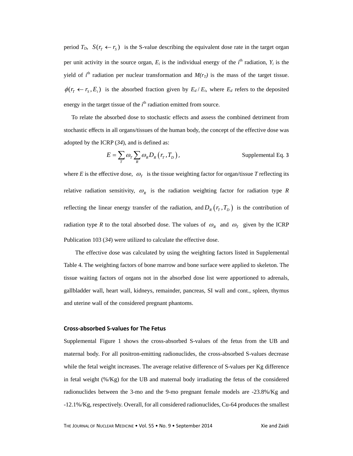period  $T_D$ ,  $S(r_r \leftarrow r_s)$  is the S-value describing the equivalent dose rate in the target organ per unit activity in the source organ,  $E_i$  is the individual energy of the  $i^{\text{th}}$  radiation,  $Y_i$  is the yield of  $i<sup>th</sup>$  radiation per nuclear transformation and  $M(r_T)$  is the mass of the target tissue.  $\phi(r_T \leftarrow r_s, E_i)$  is the absorbed fraction given by  $E_d/E_i$ , where  $E_d$  refers to the deposited energy in the target tissue of the  $i<sup>th</sup>$  radiation emitted from source.

To relate the absorbed dose to stochastic effects and assess the combined detriment from stochastic effects in all organs/tissues of the human body, the concept of the effective dose was adopted by the ICRP (*34*), and is defined as:

$$
E = \sum_{T} \omega_{T} \sum_{R} \omega_{R} D_{R} (r_{T}, T_{D}),
$$
 Supplemental Eq. 3

where *E* is the effective dose,  $\omega_T$  is the tissue weighting factor for organ/tissue *T* reflecting its relative radiation sensitivity,  $\omega_R$  is the radiation weighting factor for radiation type *R* reflecting the linear energy transfer of the radiation, and  $D_R(r_T, T_D)$  is the contribution of radiation type *R* to the total absorbed dose. The values of  $\omega_R$  and  $\omega_T$  given by the ICRP Publication 103 (*34*) were utilized to calculate the effective dose.

The effective dose was calculated by using the weighting factors listed in Supplemental Table 4. The weighting factors of bone marrow and bone surface were applied to skeleton. The tissue waiting factors of organs not in the absorbed dose list were apportioned to adrenals, gallbladder wall, heart wall, kidneys, remainder, pancreas, SI wall and cont., spleen, thymus and uterine wall of the considered pregnant phantoms.

## **Cross‐absorbed S‐values for The Fetus**

Supplemental Figure 1 shows the cross-absorbed S-values of the fetus from the UB and maternal body. For all positron-emitting radionuclides, the cross-absorbed S-values decrease while the fetal weight increases. The average relative difference of S-values per Kg difference in fetal weight (%/Kg) for the UB and maternal body irradiating the fetus of the considered radionuclides between the 3-mo and the 9-mo pregnant female models are -23.8%/Kg and -12.1%/Kg, respectively. Overall, for all considered radionuclides, Cu-64 produces the smallest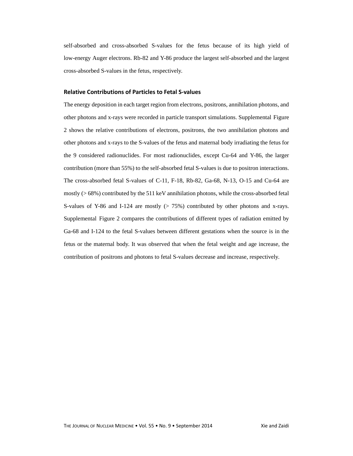self-absorbed and cross-absorbed S-values for the fetus because of its high yield of low-energy Auger electrons. Rb-82 and Y-86 produce the largest self-absorbed and the largest cross-absorbed S-values in the fetus, respectively.

# **Relative Contributions of Particles to Fetal S‐values**

The energy deposition in each target region from electrons, positrons, annihilation photons, and other photons and x-rays were recorded in particle transport simulations. Supplemental Figure 2 shows the relative contributions of electrons, positrons, the two annihilation photons and other photons and x-rays to the S-values of the fetus and maternal body irradiating the fetus for the 9 considered radionuclides. For most radionuclides, except Cu-64 and Y-86, the larger contribution (more than 55%) to the self-absorbed fetal S-values is due to positron interactions. The cross-absorbed fetal S-values of C-11, F-18, Rb-82, Ga-68, N-13, O-15 and Cu-64 are mostly (> 68%) contributed by the 511 keV annihilation photons, while the cross-absorbed fetal S-values of Y-86 and I-124 are mostly  $(> 75%)$  contributed by other photons and x-rays. Supplemental Figure 2 compares the contributions of different types of radiation emitted by Ga-68 and I-124 to the fetal S-values between different gestations when the source is in the fetus or the maternal body. It was observed that when the fetal weight and age increase, the contribution of positrons and photons to fetal S-values decrease and increase, respectively.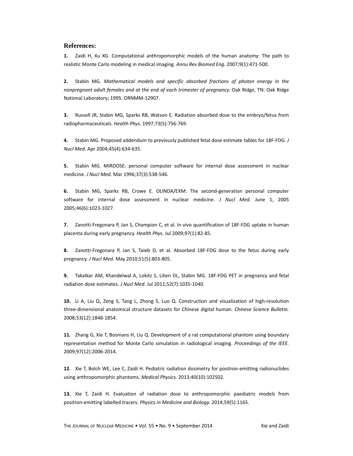# **References:**

**1.** Zaidi H, Xu XG. Computational anthropomorphic models of the human anatomy: The path to realistic Monte Carlo modeling in medical imaging. *Annu Rev Biomed Eng.* 2007;9(1):471‐500.

**2.** Stabin MG. *Mathematical models and specific absorbed fractions of photon energy in the nonpregnant adult females and at the end of each trimester of pregnancy.* Oak Ridge, TN: Oak Ridge National Laboratory; 1995. ORNMM‐12907.

**3.** Russell JR, Stabin MG, Sparks RB, Watson E. Radiation absorbed dose to the embryo/fetus from radiopharmaceuticals. *Health Phys.* 1997;73(5):756‐769.

**4.** Stabin MG. Proposed addendum to previously published fetal dose estimate tables for 18F‐FDG. *J Nucl Med.* Apr 2004;45(4):634‐635.

**5.** Stabin MG. MIRDOSE: personal computer software for internal dose assessment in nuclear medicine. *J Nucl Med.* Mar 1996;37(3):538‐546.

**6.** Stabin MG, Sparks RB, Crowe E. OLINDA/EXM: The second‐generation personal computer software for internal dose assessment in nuclear medicine. *J Nucl Med.* June 1, 2005 2005;46(6):1023‐1027.

**7.** Zanotti‐Fregonara P, Jan S, Champion C, et al. In vivo quantification of 18F‐FDG uptake in human placenta during early pregnancy. *Health Phys.* Jul 2009;97(1):82‐85.

**8.** Zanotti‐Fregonara P, Jan S, Taieb D, et al. Absorbed 18F‐FDG dose to the fetus during early pregnancy. *J Nucl Med.* May 2010;51(5):803‐805.

**9.** Takalkar AM, Khandelwal A, Lokitz S, Lilien DL, Stabin MG. 18F‐FDG PET in pregnancy and fetal radiation dose estimates. *J Nucl Med.* Jul 2011;52(7):1035‐1040.

10. Li A, Liu Q, Zeng S, Tang L, Zhong S, Luo Q. Construction and visualization of high-resolution three‐dimensional anatomical structure datasets for Chinese digital human. *Chinese Science Bulletin.* 2008;53(12):1848‐1854.

**11.** Zhang G, Xie T, Bosmans H, Liu Q. Development of a rat computational phantom using boundary representation method for Monte Carlo simulation in radiological imaging. *Proceedings of the IEEE.* 2009;97(12):2006‐2014.

**12.** Xie T, Bolch WE, Lee C, Zaidi H. Pediatric radiation dosimetry for positron‐emitting radionuclides using anthropomorphic phantoms. *Medical Physics.* 2013;40(10):102502.

**13.** Xie T, Zaidi H. Evaluation of radiation dose to anthropomorphic paediatric models from positron‐emitting labelled tracers. *Physics in Medicine and Biology.* 2014;59(5):1165.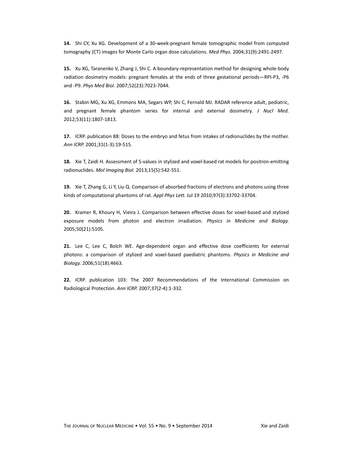**14.** Shi CY, Xu XG. Development of a 30‐week‐pregnant female tomographic model from computed tomography (CT) images for Monte Carlo organ dose calculations. *Med Phys.* 2004;31(9):2491‐2497.

**15.** Xu XG, Taranenko V, Zhang J, Shi C. A boundary‐representation method for designing whole‐body radiation dosimetry models: pregnant females at the ends of three gestational periods—RPI‐P3, ‐P6 and ‐P9. *Phys Med Biol.* 2007;52(23):7023‐7044.

**16.** Stabin MG, Xu XG, Emmons MA, Segars WP, Shi C, Fernald MJ. RADAR reference adult, pediatric, and pregnant female phantom series for internal and external dosimetry. *J Nucl Med.* 2012;53(11):1807‐1813.

**17.** ICRP. publication 88: Doses to the embryo and fetus from intakes of radionuclides by the mother. *Ann ICRP.* 2001;31(1‐3):19‐515.

18. Xie T, Zaidi H. Assessment of S-values in stylized and voxel-based rat models for positron-emitting radionuclides. *Mol Imaging Biol.* 2013;15(5):542‐551.

**19.** Xie T, Zhang G, Li Y, Liu Q. Comparison of absorbed fractions of electrons and photons using three kinds of computational phantoms of rat. *Appl Phys Lett.* Jul 19 2010;97(3):33702‐33704.

**20.** Kramer R, Khoury H, Vieira J. Comparison between effective doses for voxel‐based and stylized exposure models from photon and electron irradiation. *Physics in Medicine and Biology.* 2005;50(21):5105.

21. Lee C, Lee C, Bolch WE. Age-dependent organ and effective dose coefficients for external photons: a comparison of stylized and voxel‐based paediatric phantoms. *Physics in Medicine and Biology.* 2006;51(18):4663.

**22.** ICRP. publication 103: The 2007 Recommendations of the International Commission on Radiological Protection. *Ann ICRP.* 2007;37(2‐4):1‐332.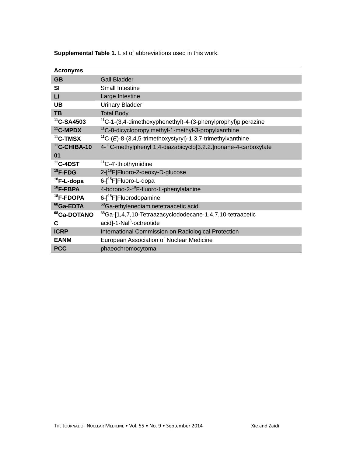| <b>Acronyms</b>       |                                                                              |
|-----------------------|------------------------------------------------------------------------------|
| <b>GB</b>             | <b>Gall Bladder</b>                                                          |
| <b>SI</b>             | <b>Small Intestine</b>                                                       |
| п                     | Large Intestine                                                              |
| <b>UB</b>             | <b>Urinary Bladder</b>                                                       |
| <b>TB</b>             | <b>Total Body</b>                                                            |
| $11$ C-SA4503         | <sup>11</sup> C-1-(3,4-dimethoxyphenethyl)-4-(3-phenylprophyl)piperazine     |
| <sup>11</sup> C-MPDX  | <sup>11</sup> C-8-dicyclopropylmethyl-1-methyl-3-propylxanthine              |
| $11$ C-TMSX           | $^{11}C$ -(E)-8-(3,4,5-trimethoxystyryl)-1,3,7-trimethylxanthine             |
| $11$ C-CHIBA-10       | 4- <sup>11</sup> C-methylphenyl 1,4-diazabicyclo[3.2.2.]nonane-4-carboxylate |
| 01                    |                                                                              |
| $11$ C-4DST           | <sup>11</sup> C-4'-thiothymidine                                             |
| $18$ F-FDG            | 2-[ <sup>18</sup> F]Fluoro-2-deoxy-D-glucose                                 |
| $18$ F-L-dopa         | 6-[ <sup>18</sup> F]Fluoro-L-dopa                                            |
| $18$ F-FBPA           | 4-borono-2- <sup>18</sup> F-fluoro-L-phenylalanine                           |
| <sup>18</sup> F-FDOPA | 6-[ <sup>18</sup> F]Fluorodopamine                                           |
| <sup>68</sup> Ga-EDTA | <sup>68</sup> Ga-ethylenediaminetetraacetic acid                             |
| 68Ga-DOTANO           | <sup>68</sup> Ga-[1,4,7,10-Tetraazacyclododecane-1,4,7,10-tetraacetic        |
| C                     | acid]-1-Nal <sup>3</sup> -octreotide                                         |
| <b>ICRP</b>           | International Commission on Radiological Protection                          |
| <b>EANM</b>           | European Association of Nuclear Medicine                                     |
| <b>PCC</b>            | phaeochromocytoma                                                            |

**Supplemental Table 1.** List of abbreviations used in this work.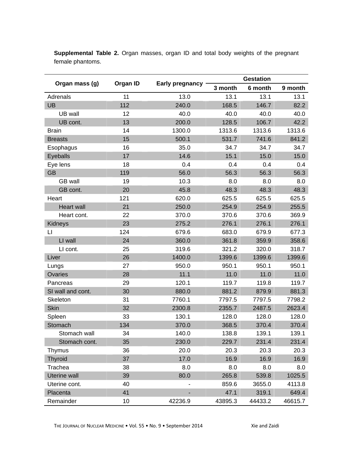| Organ mass (g)      |     | Organ ID<br>Early pregnancy | <b>Gestation</b> |         |         |
|---------------------|-----|-----------------------------|------------------|---------|---------|
|                     |     |                             | 3 month          | 6 month | 9 month |
| Adrenals            | 11  | 13.0                        | 13.1             | 13.1    | 13.1    |
| <b>UB</b>           | 112 | 240.0                       | 168.5            | 146.7   | 82.2    |
| UB wall             | 12  | 40.0                        | 40.0             | 40.0    | 40.0    |
| UB cont.            | 13  | 200.0                       | 128.5            | 106.7   | 42.2    |
| <b>Brain</b>        | 14  | 1300.0                      | 1313.6           | 1313.6  | 1313.6  |
| <b>Breasts</b>      | 15  | 500.1                       | 531.7            | 741.6   | 841.2   |
| Esophagus           | 16  | 35.0                        | 34.7             | 34.7    | 34.7    |
| Eyeballs            | 17  | 14.6                        | 15.1             | 15.0    | 15.0    |
| Eye lens            | 18  | 0.4                         | 0.4              | 0.4     | 0.4     |
| <b>GB</b>           | 119 | 56.0                        | 56.3             | 56.3    | 56.3    |
| <b>GB</b> wall      | 19  | 10.3                        | 8.0              | 8.0     | 8.0     |
| GB cont.            | 20  | 45.8                        | 48.3             | 48.3    | 48.3    |
| Heart               | 121 | 620.0                       | 625.5            | 625.5   | 625.5   |
| <b>Heart wall</b>   | 21  | 250.0                       | 254.9            | 254.9   | 255.5   |
| Heart cont.         | 22  | 370.0                       | 370.6            | 370.6   | 369.9   |
| Kidneys             | 23  | 275.2                       | 276.1            | 276.1   | 276.1   |
| LI                  | 124 | 679.6                       | 683.0            | 679.9   | 677.3   |
| LI wall             | 24  | 360.0                       | 361.8            | 359.9   | 358.6   |
| LI cont.            | 25  | 319.6                       | 321.2            | 320.0   | 318.7   |
| Liver               | 26  | 1400.0                      | 1399.6           | 1399.6  | 1399.6  |
| Lungs               | 27  | 950.0                       | 950.1            | 950.1   | 950.1   |
| Ovaries             | 28  | 11.1                        | 11.0             | 11.0    | 11.0    |
| Pancreas            | 29  | 120.1                       | 119.7            | 119.8   | 119.7   |
| SI wall and cont.   | 30  | 880.0                       | 881.2            | 879.9   | 881.3   |
| Skeleton            | 31  | 7760.1                      | 7797.5           | 7797.5  | 7798.2  |
| <b>Skin</b>         | 32  | 2300.8                      | 2355.7           | 2487.5  | 2623.4  |
| Spleen              | 33  | 130.1                       | 128.0            | 128.0   | 128.0   |
| Stomach             | 134 | 370.0                       | 368.5            | 370.4   | 370.4   |
| Stomach wall        | 34  | 140.0                       | 138.8            | 139.1   | 139.1   |
| Stomach cont.       | 35  | 230.0                       | 229.7            | 231.4   | 231.4   |
| Thymus              | 36  | 20.0                        | 20.3             | 20.3    | 20.3    |
| <b>Thyroid</b>      | 37  | 17.0                        | 16.9             | 16.9    | 16.9    |
| Trachea             | 38  | 8.0                         | 8.0              | 8.0     | 8.0     |
| <b>Uterine wall</b> | 39  | 80.0                        | 265.8            | 539.8   | 1025.5  |
| Uterine cont.       | 40  |                             | 859.6            | 3655.0  | 4113.8  |
| Placenta            | 41  |                             | 47.1             | 319.1   | 649.4   |
| Remainder           | 10  | 42236.9                     | 43895.3          | 44433.2 | 46615.7 |

**Supplemental Table 2.** Organ masses, organ ID and total body weights of the pregnant female phantoms.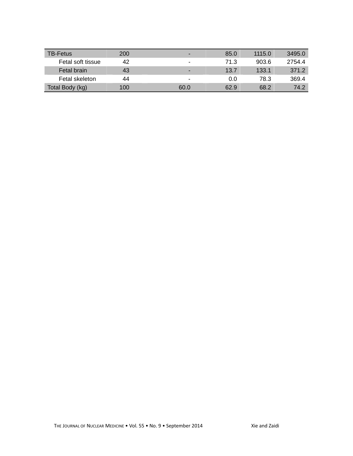| <b>TB-Fetus</b>   | 200 | -              | 85.0 | 1115.0 | 3495.0 |
|-------------------|-----|----------------|------|--------|--------|
| Fetal soft tissue | 42  | $\blacksquare$ | 71.3 | 903.6  | 2754.4 |
| Fetal brain       | 43  | -              | 13.7 | 133.1  | 371.2  |
| Fetal skeleton    | 44  | -              | 0.0  | 78.3   | 369.4  |
| Total Body (kg)   | 100 | 60.0           | 62.9 | 68.2   | 74.2   |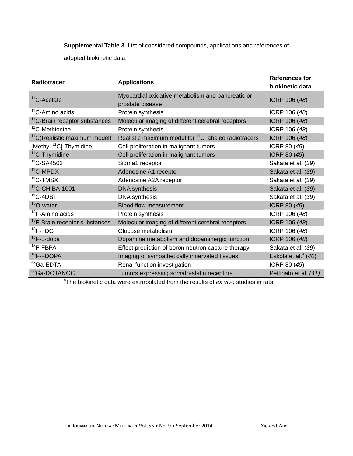**Supplemental Table 3.** List of considered compounds, applications and references of

adopted biokinetic data.

| <b>Radiotracer</b>                        | <b>Applications</b>                                              | <b>References for</b>           |  |
|-------------------------------------------|------------------------------------------------------------------|---------------------------------|--|
|                                           |                                                                  | biokinetic data                 |  |
| <sup>11</sup> C-Acetate                   | Myocardial oxidative metabolism and pancreatic or                |                                 |  |
|                                           | prostate disease                                                 | ICRP 106 (48)                   |  |
| $11$ <sup>C</sup> -Amino acids            | Protein synthesis                                                | ICRP 106 (48)                   |  |
| <sup>11</sup> C-Brain receptor substances | Molecular imaging of different cerebral receptors                | ICRP 106 (48)                   |  |
| <sup>11</sup> C-Methionine                | Protein synthesis                                                | ICRP 106 (48)                   |  |
| <sup>11</sup> C(Realistic maximum model)  | Realistic maximum model for <sup>11</sup> C labeled radiotracers | ICRP 106 (48)                   |  |
| [Methyl- <sup>11</sup> C]-Thymidine       | Cell proliferation in malignant tumors                           | ICRP 80 (49)                    |  |
| <sup>11</sup> C-Thymidine                 | Cell proliferation in malignant tumors                           | ICRP 80 (49)                    |  |
| $11$ C-SA4503                             | Sigma1 receptor                                                  | Sakata et al. (39)              |  |
| $11$ C-MPDX                               | Adenosine A1 receptor                                            | Sakata et al. (39)              |  |
| $11$ C-TMSX                               | Adenosine A2A receptor                                           | Sakata et al. (39)              |  |
| $11$ C-CHIBA-1001                         | <b>DNA</b> synthesis                                             | Sakata et al. (39)              |  |
| $11$ C-4DST                               | <b>DNA</b> synthesis                                             | Sakata et al. (39)              |  |
| <sup>15</sup> O-water                     | <b>Blood flow measurement</b>                                    | ICRP 80 (49)                    |  |
| <sup>18</sup> F-Amino acids               | Protein synthesis                                                | ICRP 106 (48)                   |  |
| <sup>18</sup> F-Brain receptor substances | Molecular imaging of different cerebral receptors                | ICRP 106 (48)                   |  |
| $18$ F-FDG                                | Glucose metabolism                                               | ICRP 106 (48)                   |  |
| $18$ F-L-dopa                             | Dopamine metabolism and dopaminergic function                    | ICRP 106 (48)                   |  |
| $18$ F-FBPA                               | Effect prediction of boron neutron capture therapy               | Sakata et al. (39)              |  |
| <sup>18</sup> F-FDOPA                     | Imaging of sympathetically innervated tissues                    | Eskola et al. <sup>a</sup> (40) |  |
| <sup>68</sup> Ga-EDTA                     | Renal function investigation                                     | ICRP 80 (49)                    |  |
| <sup>68</sup> Ga-DOTANOC                  | Tumors expressing somato-statin receptors                        | Pettinato et al. (41)           |  |

a The biokinetic data were extrapolated from the results of *ex vivo* studies in rats.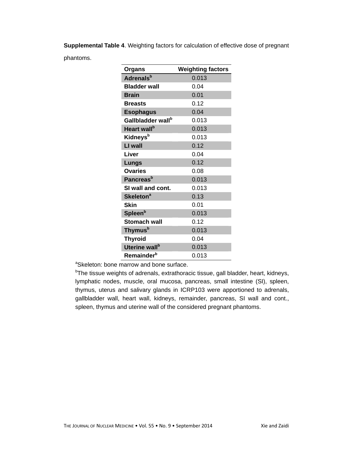**Supplemental Table 4**. Weighting factors for calculation of effective dose of pregnant phantoms.

| <b>Organs</b>                 | <b>Weighting factors</b> |
|-------------------------------|--------------------------|
| <b>Adrenals</b> <sup>b</sup>  | 0.013                    |
| <b>Bladder wall</b>           | 0.04                     |
| <b>Brain</b>                  | 0.01                     |
| <b>Breasts</b>                | 0.12                     |
| <b>Esophagus</b>              | 0.04                     |
| Gallbladder wall <sup>b</sup> | 0.013                    |
| Heart wall <sup>b</sup>       | 0.013                    |
| Kidneys <sup>b</sup>          | 0.013                    |
| LI wall                       | 0.12                     |
| Liver                         | 0.04                     |
| Lungs                         | 0.12                     |
| <b>Ovaries</b>                | 0.08                     |
| <b>Pancreas</b> <sup>b</sup>  | 0.013                    |
| SI wall and cont.             | 0.013                    |
| <b>Skeleton<sup>a</sup></b>   | 0.13                     |
| <b>Skin</b>                   | 0.01                     |
| Spleen <sup>b</sup>           | 0.013                    |
| <b>Stomach wall</b>           | 0.12                     |
| Thymus <sup>b</sup>           | 0.013                    |
| <b>Thyroid</b>                | 0.04                     |
| Uterine wall <sup>b</sup>     | 0.013                    |
| Remainder <sup>b</sup>        | 0.013                    |

aSkeleton: bone marrow and bone surface.

<sup>b</sup>The tissue weights of adrenals, extrathoracic tissue, gall bladder, heart, kidneys, lymphatic nodes, muscle, oral mucosa, pancreas, small intestine (SI), spleen, thymus, uterus and salivary glands in ICRP103 were apportioned to adrenals, gallbladder wall, heart wall, kidneys, remainder, pancreas, SI wall and cont., spleen, thymus and uterine wall of the considered pregnant phantoms.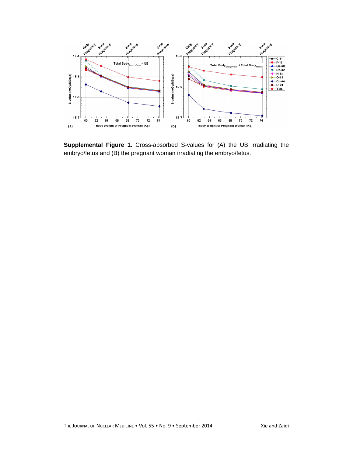

**Supplemental Figure 1.** Cross-absorbed S-values for (A) the UB irradiating the embryo/fetus and (B) the pregnant woman irradiating the embryo/fetus.